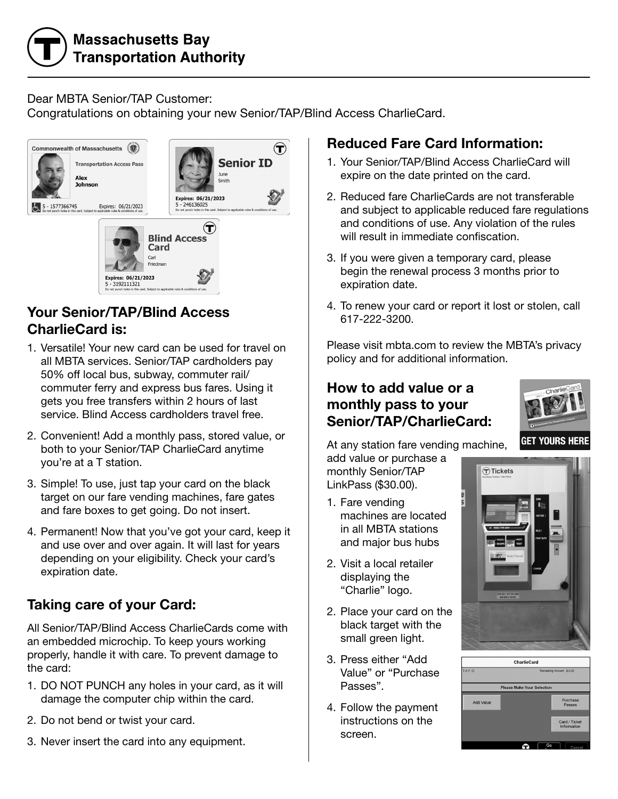# **Massachusetts Bay Transportation Authority**

#### Dear MBTA Senior/TAP Customer:

Congratulations on obtaining your new Senior/TAP/Blind Access CharlieCard.



#### Your Senior/TAP/Blind Access CharlieCard is:

- 1. Versatile! Your new card can be used for travel on all MBTA services. Senior/TAP cardholders pay 50% off local bus, subway, commuter rail/ commuter ferry and express bus fares. Using it gets you free transfers within 2 hours of last service. Blind Access cardholders travel free.
- 2. Convenient! Add a monthly pass, stored value, or both to your Senior/TAP CharlieCard anytime you're at a T station.
- 3. Simple! To use, just tap your card on the black target on our fare vending machines, fare gates and fare boxes to get going. Do not insert.
- 4. Permanent! Now that you've got your card, keep it and use over and over again. It will last for years depending on your eligibility. Check your card's expiration date.

### Taking care of your Card:

All Senior/TAP/Blind Access CharlieCards come with an embedded microchip. To keep yours working properly, handle it with care. To prevent damage to the card:

- 1. DO NOT PUNCH any holes in your card, as it will damage the computer chip within the card.
- 2. Do not bend or twist your card.
- 3. Never insert the card into any equipment.

## Reduced Fare Card Information:

- 1. Your Senior/TAP/Blind Access CharlieCard will expire on the date printed on the card.
- 2. Reduced fare CharlieCards are not transferable and subject to applicable reduced fare regulations and conditions of use. Any violation of the rules will result in immediate confiscation.
- 3. If you were given a temporary card, please begin the renewal process 3 months prior to expiration date.
- 4. To renew your card or report it lost or stolen, call 617-222-3200.

Please visit mbta.com to review the MBTA's privacy policy and for additional information.

#### How to add value or a monthly pass to your Senior/TAP/CharlieCard:



add value or purchase a monthly Senior/TAP LinkPass (\$30.00).

- 1. Fare vending machines are located in all MBTA stations and major bus hubs
- 2. Visit a local retailer displaying the "Charlie" logo.
- 2. Place your card on the black target with the small green light.
- 3. Press either "Add Value" or "Purchase Passes".
- 4. Follow the payment instructions on the screen.



**GET YOURS HERE**